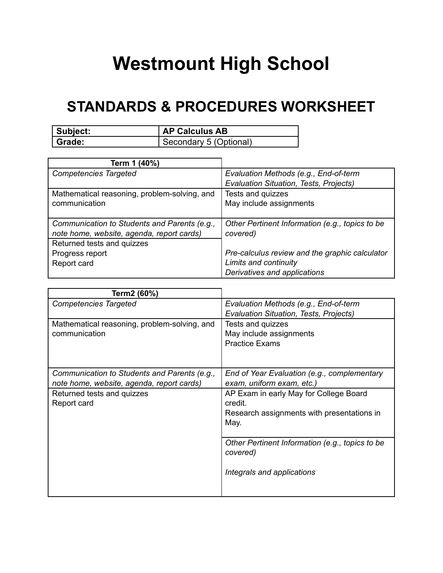## **Westmount High School**

## **STANDARDS & PROCEDURES WORKSHEET**

| Subject: | <b>AP Calculus AB</b>  |
|----------|------------------------|
| l Grade: | Secondary 5 (Optional) |

| Term 1 (40%)                                 |                                                 |
|----------------------------------------------|-------------------------------------------------|
| <b>Competencies Targeted</b>                 | Evaluation Methods (e.g., End-of-term           |
|                                              | <b>Evaluation Situation, Tests, Projects)</b>   |
| Mathematical reasoning, problem-solving, and | Tests and quizzes                               |
| communication                                | May include assignments                         |
|                                              |                                                 |
| Communication to Students and Parents (e.g., | Other Pertinent Information (e.g., topics to be |
| note home, website, agenda, report cards)    | covered)                                        |
| Returned tests and quizzes                   |                                                 |
|                                              |                                                 |
| Progress report                              | Pre-calculus review and the graphic calculator  |
| Report card                                  | Limits and continuity                           |

| Evaluation Methods (e.g., End-of-term<br>Evaluation Situation, Tests, Projects)                         |
|---------------------------------------------------------------------------------------------------------|
| Tests and quizzes<br>May include assignments<br><b>Practice Exams</b>                                   |
| End of Year Evaluation (e.g., complementary<br>exam, uniform exam, etc.)                                |
| AP Exam in early May for College Board<br>credit.<br>Research assignments with presentations in<br>May. |
| Other Pertinent Information (e.g., topics to be<br>covered)<br>Integrals and applications               |
|                                                                                                         |